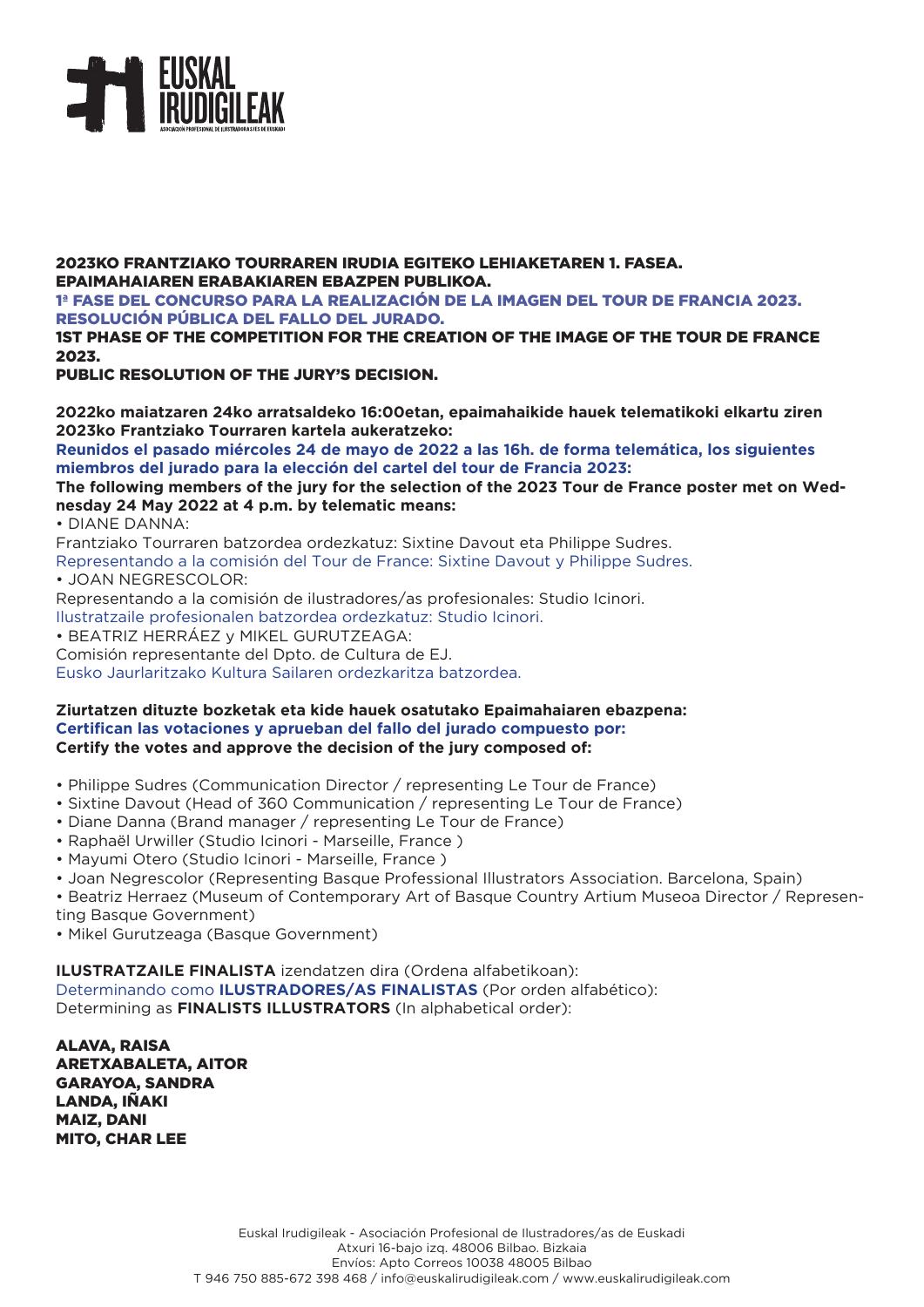

2023KO FRANTZIAKO TOURRAREN IRUDIA EGITEKO LEHIAKETAREN 1. FASEA. EPAIMAHAIAREN ERABAKIAREN EBAZPEN PUBLIKOA. 1ª FASE DEL CONCURSO PARA LA REALIZACIÓN DE LA IMAGEN DEL TOUR DE FRANCIA 2023.

RESOLUCIÓN PÚBLICA DEL FALLO DEL JURADO.

1ST PHASE OF THE COMPETITION FOR THE CREATION OF THE IMAGE OF THE TOUR DE FRANCE 2023.

PUBLIC RESOLUTION OF THE JURY'S DECISION.

**2022ko maiatzaren 24ko arratsaldeko 16:00etan, epaimahaikide hauek telematikoki elkartu ziren 2023ko Frantziako Tourraren kartela aukeratzeko:** 

**Reunidos el pasado miércoles 24 de mayo de 2022 a las 16h. de forma telemática, los siguientes miembros del jurado para la elección del cartel del tour de Francia 2023:**

## **The following members of the jury for the selection of the 2023 Tour de France poster met on Wednesday 24 May 2022 at 4 p.m. by telematic means:**

• DIANE DANNA:

Frantziako Tourraren batzordea ordezkatuz: Sixtine Davout eta Philippe Sudres.

Representando a la comisión del Tour de France: Sixtine Davout y Philippe Sudres.

• JOAN NEGRESCOLOR:

Representando a la comisión de ilustradores/as profesionales: Studio Icinori.

Ilustratzaile profesionalen batzordea ordezkatuz: Studio Icinori.

• BEATRIZ HERRÁEZ y MIKEL GURUTZEAGA:

Comisión representante del Dpto. de Cultura de EJ.

Eusko Jaurlaritzako Kultura Sailaren ordezkaritza batzordea.

## **Ziurtatzen dituzte bozketak eta kide hauek osatutako Epaimahaiaren ebazpena: Certifican las votaciones y aprueban del fallo del jurado compuesto por: Certify the votes and approve the decision of the jury composed of:**

- Philippe Sudres (Communication Director / representing Le Tour de France)
- Sixtine Davout (Head of 360 Communication / representing Le Tour de France)
- Diane Danna (Brand manager / representing Le Tour de France)
- Raphaël Urwiller (Studio Icinori Marseille, France )
- Mayumi Otero (Studio Icinori Marseille, France )
- Joan Negrescolor (Representing Basque Professional Illustrators Association. Barcelona, Spain)

• Beatriz Herraez (Museum of Contemporary Art of Basque Country Artium Museoa Director / Representing Basque Government)

• Mikel Gurutzeaga (Basque Government)

**ILUSTRATZAILE FINALISTA** izendatzen dira (Ordena alfabetikoan): Determinando como **ILUSTRADORES/AS FINALISTAS** (Por orden alfabético): Determining as **FINALISTS ILLUSTRATORS** (In alphabetical order):

ALAVA, RAISA ARETXABALETA, AITOR GARAYOA, SANDRA LANDA, IÑAKI MAIZ, DANI MITO, CHAR LEE